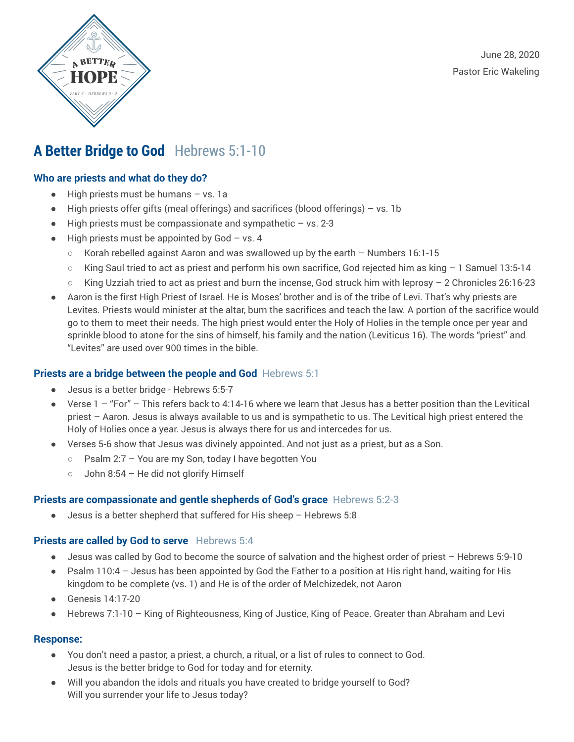



## **A Better Bridge to God** Hebrews 5:1-10

### **Who are priests and what do they do?**

- High priests must be humans vs. 1a
- High priests offer gifts (meal offerings) and sacrifices (blood offerings) vs. 1b
- $\bullet$  High priests must be compassionate and sympathetic  $-$  vs. 2-3
- $\bullet$  High priests must be appointed by God vs. 4
	- $\circ$  Korah rebelled against Aaron and was swallowed up by the earth Numbers 16:1-15
	- King Saul tried to act as priest and perform his own sacrifice, God rejected him as king 1 Samuel 13:5-14
	- King Uzziah tried to act as priest and burn the incense, God struck him with leprosy 2 Chronicles 26:16-23
- Aaron is the first High Priest of Israel. He is Moses' brother and is of the tribe of Levi. That's why priests are Levites. Priests would minister at the altar, burn the sacrifices and teach the law. A portion of the sacrifice would go to them to meet their needs. The high priest would enter the Holy of Holies in the temple once per year and sprinkle blood to atone for the sins of himself, his family and the nation (Leviticus 16). The words "priest" and "Levites" are used over 900 times in the bible.

### **Priests are a bridge between the people and God** Hebrews 5:1

- Jesus is a better bridge Hebrews 5:5-7
- $\bullet$  Verse 1 "For" This refers back to 4:14-16 where we learn that Jesus has a better position than the Levitical priest – Aaron. Jesus is always available to us and is sympathetic to us. The Levitical high priest entered the Holy of Holies once a year. Jesus is always there for us and intercedes for us.
- Verses 5-6 show that Jesus was divinely appointed. And not just as a priest, but as a Son.
	- Psalm 2:7 You are my Son, today I have begotten You
	- John 8:54 He did not glorify Himself

### **Priests are compassionate and gentle shepherds of God's grace** Hebrews 5:2-3

● Jesus is a better shepherd that suffered for His sheep – Hebrews 5:8

### **Priests are called by God to serve** Hebrews 5:4

- Jesus was called by God to become the source of salvation and the highest order of priest Hebrews 5:9-10
- Psalm 110:4 Jesus has been appointed by God the Father to a position at His right hand, waiting for His kingdom to be complete (vs. 1) and He is of the order of Melchizedek, not Aaron
- Genesis 14:17-20
- Hebrews 7:1-10 King of Righteousness, King of Justice, King of Peace. Greater than Abraham and Levi

### **Response:**

- You don't need a pastor, a priest, a church, a ritual, or a list of rules to connect to God. Jesus is the better bridge to God for today and for eternity.
- Will you abandon the idols and rituals you have created to bridge yourself to God? Will you surrender your life to Jesus today?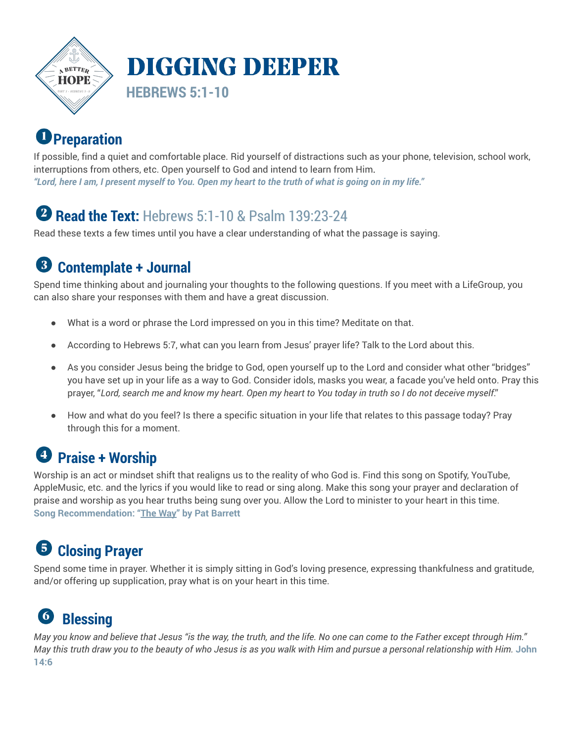

# **Preparation**

If possible, find a quiet and comfortable place. Rid yourself of distractions such as your phone, television, school work, interruptions from others, etc. Open yourself to God and intend to learn from Him. "Lord, here I am, I present myself to You. Open my heart to the truth of what is going on in my life."

## **Read the Text:** Hebrews 5:1-10 & Psalm 139:23-24

Read these texts a few times until you have a clear understanding of what the passage is saying.

#### 3 **Contemplate + Journal**

Spend time thinking about and journaling your thoughts to the following questions. If you meet with a LifeGroup, you can also share your responses with them and have a great discussion.

- What is a word or phrase the Lord impressed on you in this time? Meditate on that.
- According to Hebrews 5:7, what can you learn from Jesus' prayer life? Talk to the Lord about this.
- As you consider Jesus being the bridge to God, open yourself up to the Lord and consider what other "bridges" you have set up in your life as a way to God. Consider idols, masks you wear, a facade you've held onto. Pray this prayer, "Lord, search me and know my heart. Open my heart to You today in truth so I do not deceive myself."
- How and what do you feel? Is there a specific situation in your life that relates to this passage today? Pray through this for a moment.

## **Praise + Worship**

Worship is an act or mindset shift that realigns us to the reality of who God is. Find this song on Spotify, YouTube, AppleMusic, etc. and the lyrics if you would like to read or sing along. Make this song your prayer and declaration of praise and worship as you hear truths being sung over you. Allow the Lord to minister to your heart in this time. **Song Recommendation: "The [Way](https://www.youtube.com/watch?v=MOzsJlk8p6I)" by Pat Barrett**

#### **Closing Prayer** 6

Spend some time in prayer. Whether it is simply sitting in God's loving presence, expressing thankfulness and gratitude, and/or offering up supplication, pray what is on your heart in this time.

### 6 **Blessing**

May you know and believe that Jesus "is the way, the truth, and the life. No one can come to the Father except through Him." May this truth draw you to the beauty of who Jesus is as you walk with Him and pursue a personal relationship with Him. John **14:6**